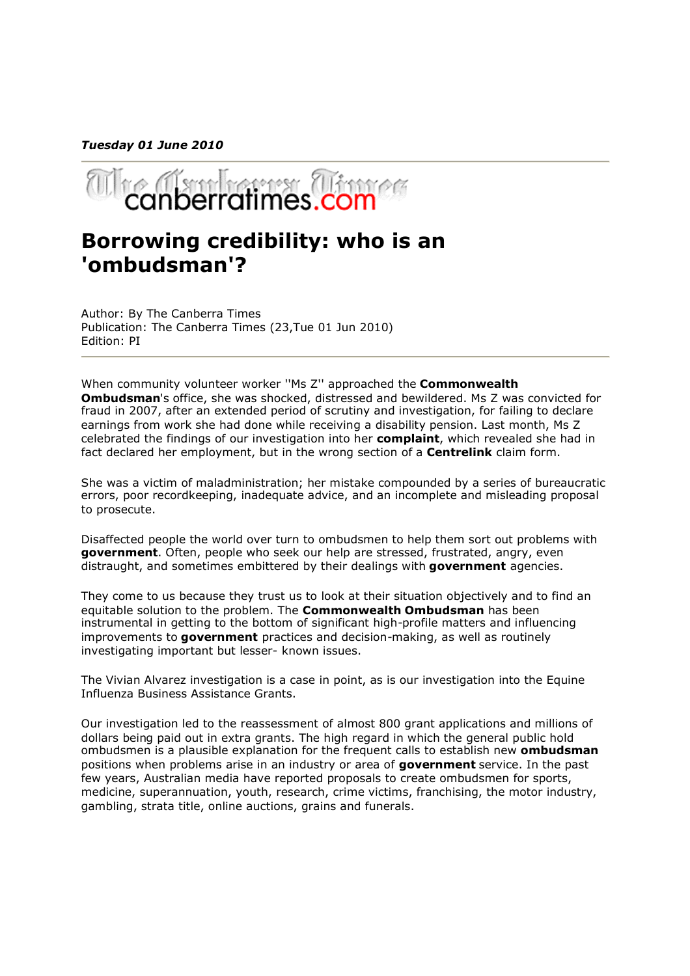*Tuesday 01 June 2010*



## **Borrowing credibility: who is an 'ombudsman'?**

Author: By The Canberra Times Publication: The Canberra Times (23,Tue 01 Jun 2010) Edition: PI

When community volunteer worker ''Ms Z'' approached the **Commonwealth Ombudsman**'s office, she was shocked, distressed and bewildered. Ms Z was convicted for fraud in 2007, after an extended period of scrutiny and investigation, for failing to declare earnings from work she had done while receiving a disability pension. Last month, Ms Z celebrated the findings of our investigation into her **complaint**, which revealed she had in fact declared her employment, but in the wrong section of a **Centrelink** claim form.

She was a victim of maladministration; her mistake compounded by a series of bureaucratic errors, poor recordkeeping, inadequate advice, and an incomplete and misleading proposal to prosecute.

Disaffected people the world over turn to ombudsmen to help them sort out problems with **government**. Often, people who seek our help are stressed, frustrated, angry, even distraught, and sometimes embittered by their dealings with **government** agencies.

They come to us because they trust us to look at their situation objectively and to find an equitable solution to the problem. The **Commonwealth Ombudsman** has been instrumental in getting to the bottom of significant high-profile matters and influencing improvements to **government** practices and decision-making, as well as routinely investigating important but lesser- known issues.

The Vivian Alvarez investigation is a case in point, as is our investigation into the Equine Influenza Business Assistance Grants.

Our investigation led to the reassessment of almost 800 grant applications and millions of dollars being paid out in extra grants. The high regard in which the general public hold ombudsmen is a plausible explanation for the frequent calls to establish new **ombudsman** positions when problems arise in an industry or area of **government** service. In the past few years, Australian media have reported proposals to create ombudsmen for sports, medicine, superannuation, youth, research, crime victims, franchising, the motor industry, gambling, strata title, online auctions, grains and funerals.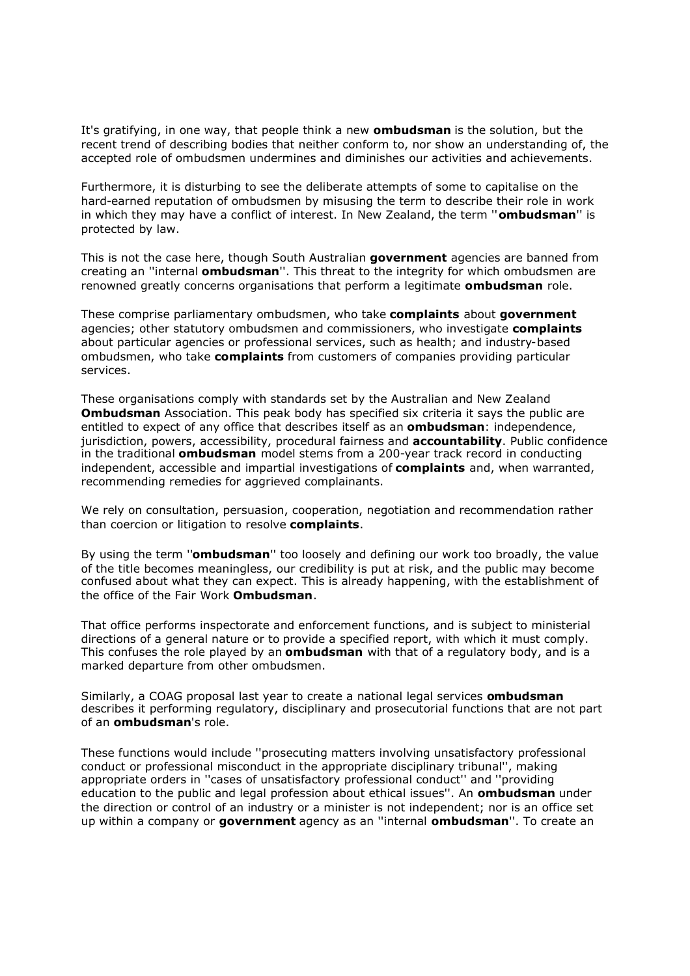It's gratifying, in one way, that people think a new **ombudsman** is the solution, but the recent trend of describing bodies that neither conform to, nor show an understanding of, the accepted role of ombudsmen undermines and diminishes our activities and achievements.

Furthermore, it is disturbing to see the deliberate attempts of some to capitalise on the hard-earned reputation of ombudsmen by misusing the term to describe their role in work in which they may have a conflict of interest. In New Zealand, the term ''**ombudsman**'' is protected by law.

This is not the case here, though South Australian **government** agencies are banned from creating an ''internal **ombudsman**''. This threat to the integrity for which ombudsmen are renowned greatly concerns organisations that perform a legitimate **ombudsman** role.

These comprise parliamentary ombudsmen, who take **complaints** about **government** agencies; other statutory ombudsmen and commissioners, who investigate **complaints** about particular agencies or professional services, such as health; and industry-based ombudsmen, who take **complaints** from customers of companies providing particular services.

These organisations comply with standards set by the Australian and New Zealand **Ombudsman** Association. This peak body has specified six criteria it says the public are entitled to expect of any office that describes itself as an **ombudsman**: independence, jurisdiction, powers, accessibility, procedural fairness and **accountability**. Public confidence in the traditional **ombudsman** model stems from a 200-year track record in conducting independent, accessible and impartial investigations of **complaints** and, when warranted, recommending remedies for aggrieved complainants.

We rely on consultation, persuasion, cooperation, negotiation and recommendation rather than coercion or litigation to resolve **complaints**.

By using the term ''**ombudsman**'' too loosely and defining our work too broadly, the value of the title becomes meaningless, our credibility is put at risk, and the public may become confused about what they can expect. This is already happening, with the establishment of the office of the Fair Work **Ombudsman**.

That office performs inspectorate and enforcement functions, and is subject to ministerial directions of a general nature or to provide a specified report, with which it must comply. This confuses the role played by an **ombudsman** with that of a regulatory body, and is a marked departure from other ombudsmen.

Similarly, a COAG proposal last year to create a national legal services **ombudsman** describes it performing regulatory, disciplinary and prosecutorial functions that are not part of an **ombudsman**'s role.

These functions would include ''prosecuting matters involving unsatisfactory professional conduct or professional misconduct in the appropriate disciplinary tribunal'', making appropriate orders in ''cases of unsatisfactory professional conduct'' and ''providing education to the public and legal profession about ethical issues''. An **ombudsman** under the direction or control of an industry or a minister is not independent; nor is an office set up within a company or **government** agency as an ''internal **ombudsman**''. To create an